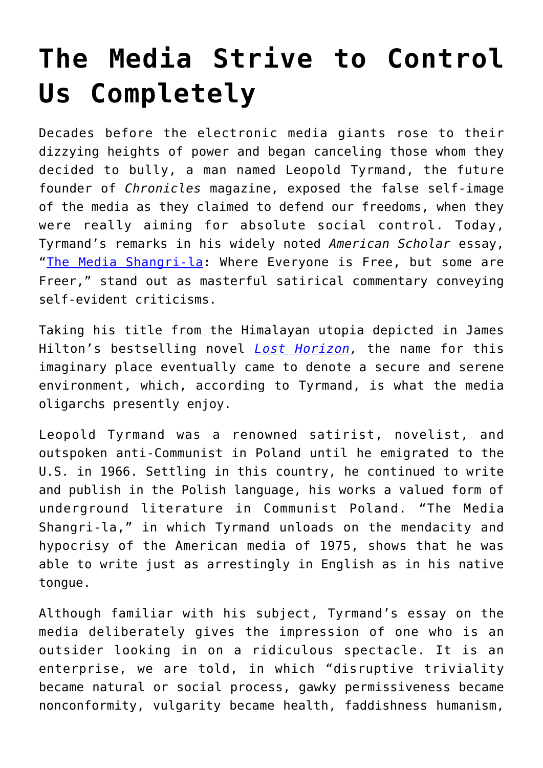## **[The Media Strive to Control](https://intellectualtakeout.org/2021/07/the-media-strive-to-control-us-completely/) [Us Completely](https://intellectualtakeout.org/2021/07/the-media-strive-to-control-us-completely/)**

Decades before the electronic media giants rose to their dizzying heights of power and began canceling those whom they decided to bully, a man named Leopold Tyrmand, the future founder of *Chronicles* magazine, exposed the false self-image of the media as they claimed to defend our freedoms, when they were really aiming for absolute social control. Today, Tyrmand's remarks in his widely noted *American Scholar* essay, "[The Media Shangri-la](https://www.jstor.org/stable/41207366): Where Everyone is Free, but some are Freer," stand out as masterful satirical commentary conveying self-evident criticisms.

Taking his title from the Himalayan utopia depicted in James Hilton's bestselling novel *[Lost Horizon,](https://www.amazon.com/gp/product/0062113720/ref=as_li_tl?ie=UTF8&camp=1789&creative=9325&creativeASIN=0062113720&linkCode=as2&tag=intelltakeo0d-20&linkId=87f4f59239400c5b0a0b557206c4f888)* the name for this imaginary place eventually came to denote a secure and serene environment, which, according to Tyrmand, is what the media oligarchs presently enjoy.

Leopold Tyrmand was a renowned satirist, novelist, and outspoken anti-Communist in Poland until he emigrated to the U.S. in 1966. Settling in this country, he continued to write and publish in the Polish language, his works a valued form of underground literature in Communist Poland. "The Media Shangri-la," in which Tyrmand unloads on the mendacity and hypocrisy of the American media of 1975, shows that he was able to write just as arrestingly in English as in his native tongue.

Although familiar with his subject, Tyrmand's essay on the media deliberately gives the impression of one who is an outsider looking in on a ridiculous spectacle. It is an enterprise, we are told, in which "disruptive triviality became natural or social process, gawky permissiveness became nonconformity, vulgarity became health, faddishness humanism,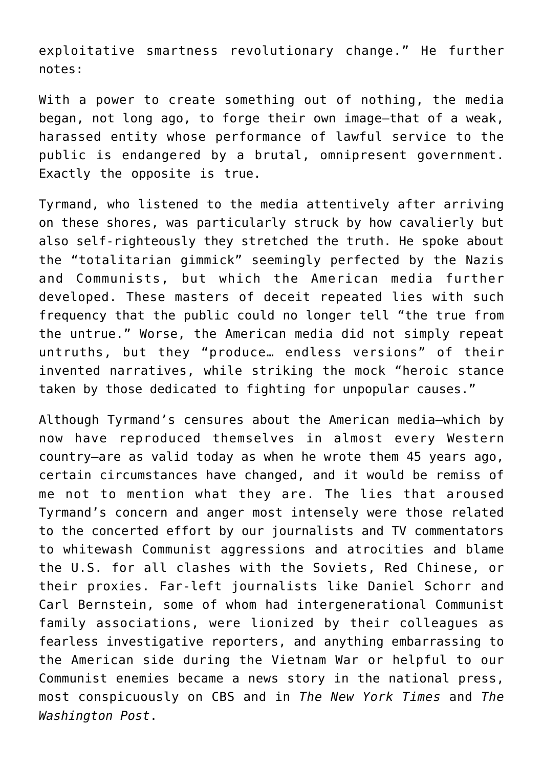exploitative smartness revolutionary change." He further notes:

With a power to create something out of nothing, the media began, not long ago, to forge their own image—that of a weak, harassed entity whose performance of lawful service to the public is endangered by a brutal, omnipresent government. Exactly the opposite is true.

Tyrmand, who listened to the media attentively after arriving on these shores, was particularly struck by how cavalierly but also self-righteously they stretched the truth. He spoke about the "totalitarian gimmick" seemingly perfected by the Nazis and Communists, but which the American media further developed. These masters of deceit repeated lies with such frequency that the public could no longer tell "the true from the untrue." Worse, the American media did not simply repeat untruths, but they "produce… endless versions" of their invented narratives, while striking the mock "heroic stance taken by those dedicated to fighting for unpopular causes."

Although Tyrmand's censures about the American media—which by now have reproduced themselves in almost every Western country—are as valid today as when he wrote them 45 years ago, certain circumstances have changed, and it would be remiss of me not to mention what they are. The lies that aroused Tyrmand's concern and anger most intensely were those related to the concerted effort by our journalists and TV commentators to whitewash Communist aggressions and atrocities and blame the U.S. for all clashes with the Soviets, Red Chinese, or their proxies. Far-left journalists like Daniel Schorr and Carl Bernstein, some of whom had intergenerational Communist family associations, were lionized by their colleagues as fearless investigative reporters, and anything embarrassing to the American side during the Vietnam War or helpful to our Communist enemies became a news story in the national press, most conspicuously on CBS and in *The New York Times* and *The Washington Post*.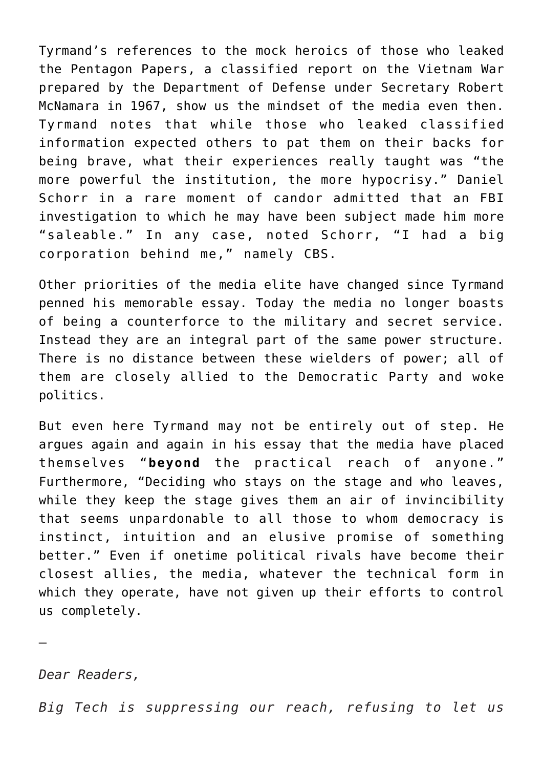Tyrmand's references to the mock heroics of those who leaked the Pentagon Papers, a classified report on the Vietnam War prepared by the Department of Defense under Secretary Robert McNamara in 1967, show us the mindset of the media even then. Tyrmand notes that while those who leaked classified information expected others to pat them on their backs for being brave, what their experiences really taught was "the more powerful the institution, the more hypocrisy." Daniel Schorr in a rare moment of candor admitted that an FBI investigation to which he may have been subject made him more "saleable." In any case, noted Schorr, "I had a big corporation behind me," namely CBS.

Other priorities of the media elite have changed since Tyrmand penned his memorable essay. Today the media no longer boasts of being a counterforce to the military and secret service. Instead they are an integral part of the same power structure. There is no distance between these wielders of power; all of them are closely allied to the Democratic Party and woke politics.

But even here Tyrmand may not be entirely out of step. He argues again and again in his essay that the media have placed themselves "**beyond** the practical reach of anyone." Furthermore, "Deciding who stays on the stage and who leaves, while they keep the stage gives them an air of invincibility that seems unpardonable to all those to whom democracy is instinct, intuition and an elusive promise of something better." Even if onetime political rivals have become their closest allies, the media, whatever the technical form in which they operate, have not given up their efforts to control us completely.

*Dear Readers,*

—

*Big Tech is suppressing our reach, refusing to let us*